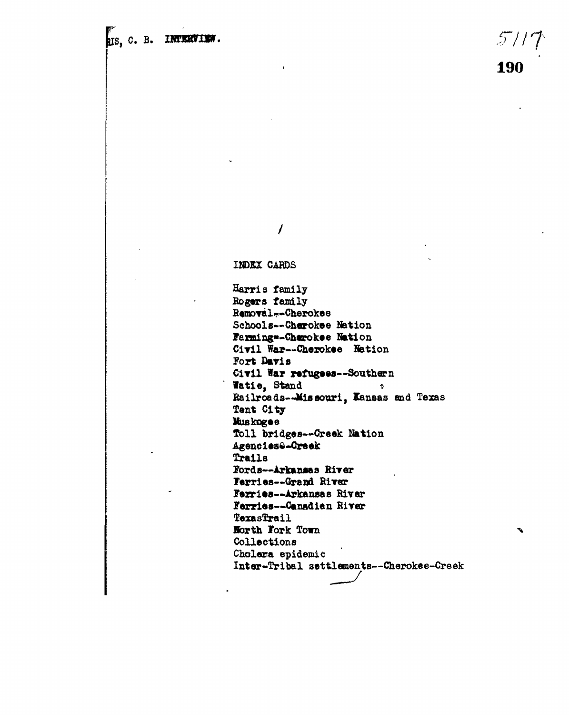**C. B. INTERVIEW.**  $\frac{1}{2}$  // $\frac{1}{2}$ 

**190**

Ŷ.

 $\prime$ 

**INDEX CARDS**

**Harris family Bogaro family BemDYalfr-Cherokee Schools—-Cherokee Nation Farmings-Cherokee Nation** Civil War--Cherokee Nation **Fort Davis** Civil War refugees--Southern **latie , Stand - Eailroeds--Hia»ouri, Kansas and Texas Tent City liuskogee Toll bridges—Creak Nation Agencies6-Creek Trails Fords—Arkansas Birer rerriea—Greod Hirer Ferriea—Arkansas River Ferries-\*Canadian RiTer** TexasTrail **Borth Fork Town Collections Cholera epidemic Inter-Tribal settlements—Cherokee-Creek**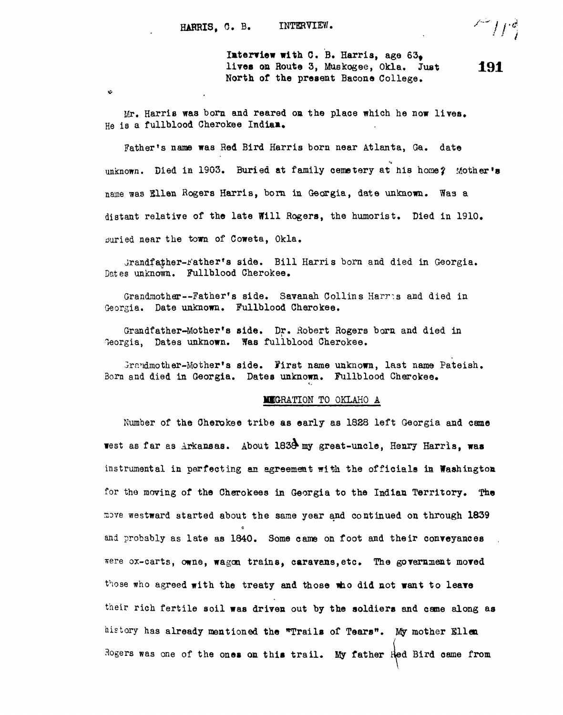$\mathbf{v}$ 

Interview with C. B. Harris, age  $63<sub>6</sub>$ lives on Route 3, Muskogee, Okla. Just 191 North of the present Bacone College,

Mr. Harris was born and reared on the place which he now lives. He is a fullblood Cherokee Indiaa,

Father's name was Red Bird Harris born near Atlanta, Ga. date unknown. Died in 1903. Buried at family cemetery at his home? Mother's name was Sllen Rogers Harris, born in Georgia, date unknown. Was a distant relative of the late Will Rogers, the humorist. Died in 1910. buried near the town of Coweta. Okla.

Grandfather-Father's side. Bill Harris born and died in Georgia. Dates unknown. Fullblood Cherokee.

Grandmother--Father's side. Savanah Collins Harris and died in Georgia. Date unknown. Fullblood Cherokee.

Grandfather-Mother's side. Dr. Robert Rogers born and died in Georgia, Dates unknown. Was fullblood Cherokee.

Grandmother-Mother's side. First name unknown, last name Pateish. Bom and died in Georgia. Dates unknown. Fullblood Cherokee,

#### MIGRATION TO OKLAHO A

Number of the Cherokee tribe as early as 1828 left Georgia and came west as far as Arkansas. About 183<sup>3</sup> my great-uncle, Henry Harris, was instrumental in perfecting an agreement with the officials in Washington. for the moving of the Cherokees in Georgia to the Indian Territory. The move westward started about the same year and continued on through 1839 and probably as late as 1840. Some came on foot and their conveyances were ox-carts, owne, wagon trains, caravans, etc. The government moved those who agreed with the treaty and those who did not want to leave their rich fertile soil was driven out by the soldiers and came along as history has already mentioned the "Trails of Tears". My mother Ellen. Rogers was one of the ones on this trail. My father  $Red$  Bird came from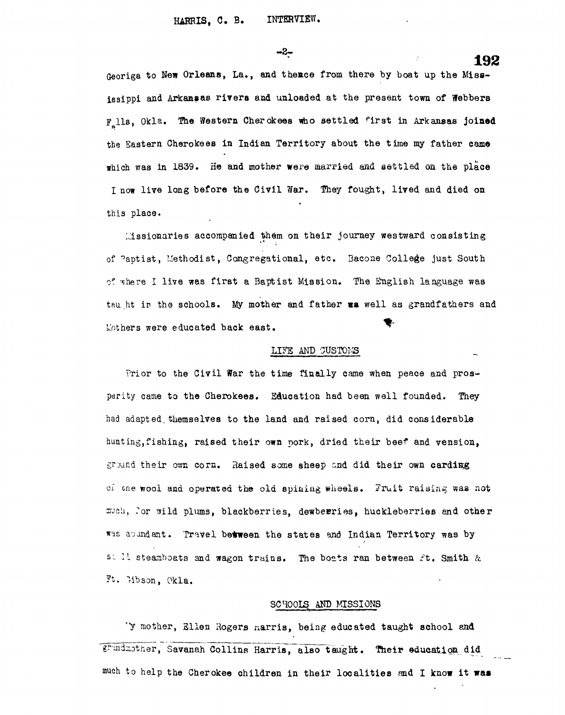-2-

**192**<br>Georiga to New Orleans, La., and thence from there by boat up the Miss-Georiga to New Orleans, La., and theace from there by boat up the Mississippi and Arkansas rivers and unloaded at the present town of Webbers F lls, Okla. The Western Cherokees who settled first in Arkansas **joined** the Eastern Cherokees in Indian Territory about the time my father came the Eastern Cherokees in  $\mathcal{L}_\text{max}$  in Indian Territory about the time my father camera  $\mathcal{L}_\text{max}$ which was in 1839. He and mother were married and settled on the place I now live long before the Civil War. They fought, lived and died on I now live long before the Civil War. They fought, lived and died on this place.

Missionaries accompanied them on their journey westward consisting Missionaries accompanied them on their journey westward consisting of baptist, I.lethodist, Congregational, etc . Bacone College just South of -".here I live was first a Baptist Mission. The English language was first Mission. The English language wa<br>The English language was first Mission. The English language was first many control of the English language wa tau,.ht ir the schools. My mother and father va well as grandfathers and Mothers were educated back east.

# LITE AND OUSTOI'3

Prior to the Civil War the time finally came when peace and prosperity came to the Cherokees. Education had been well founded. They had adapted, themselves to the land and raised corn, did considerable  $\mathcal{L}$  ing, fishing, raised their own port, dried their beef and vension, dried their beef and vension,  $\mathcal{L}$ ground their own corn. Raised some sheep snd did their own carding of one wool and operated the old spining wheels. ITruit raising was not much, for wild plums, blackberries, dewberries, huckleberries and other was abundant. Travel between the states and Indian Territory was by s: Il steamboats and wagon trains. The boats ran between Ft. Smith & Ft. Hbson, Okla.

#### SCHOOLS AND MISSIONS

'Y mother, Ellen Rogers narris, being educated taught school and grandmother, Savanah Collins Harris, also taught. Their education did much to help the Cherokee children in their localities and I know it was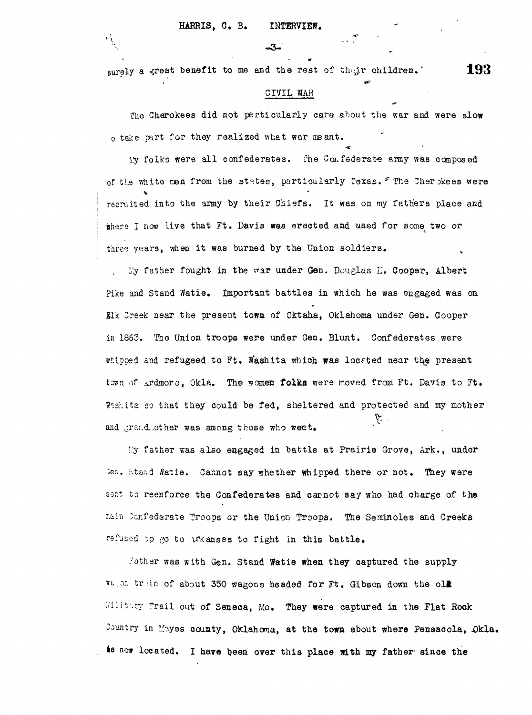#### HARRIS, C. B. INTERVIEW.

 $\overline{1}$ 

| ١<br>۰. |       | <b>Service</b> |
|---------|-------|----------------|
|         | $-3-$ |                |
|         |       |                |

surely a great benefit to me and the rest of their children.'  $193$ 

#### CIVIL WAR

The Charokees did not particularly care about the war and were slow o take part for they realized what war meant.

My folks were all confederates. The Confederate army was composed of the white men from the states, particularly Pexas. "The Cherokees were recruited into the army by their Chiefs. It was on my fathers place and there I now live that Ft. Davis was erected and used for some two or three years, when it was burned by the Union soldiers.

My father fought in the war under Gen. Douglas II. Cooper, Albert Pike and Stand Watie. Important battles in which he was engaged was on Slk Creek near the present town of Oktaha, Oklahoma under Gen. Cooper in 1863. The Union troops were under Gen. Blunt. Confederates were whipped and refugeed to Ft. Washita which was located near the present town of Ardmore, Okla. The women folks were moved from Ft. Davis to Ft.  $H_3$ shita so that they could be fed, sheltered and protected and my mother y. and grand.other was among those who went.

*I'y* father was also engaged in battle at Prairie Grove, Ark., under len. Stand Watie. Cannot say whether whipped there or not. They were sent to reenforce the Confederates and carnot say who had charge of the main Jonfederate Troops or the Union Troops. The Seminoles and Creeks refused to go to Arkanses to fight in this battle.

Father was with Gen. Stand Watie when they captured the supply Water in of about 350 wagons headed for Ft. Gibson down the old Willitary Trail out of Seneca, Mo. They were captured in the Flat Rock Country in Mayes county, Oklahoma, at the town about where Pensacola, Okla. is now located. I have been over this place with my father since the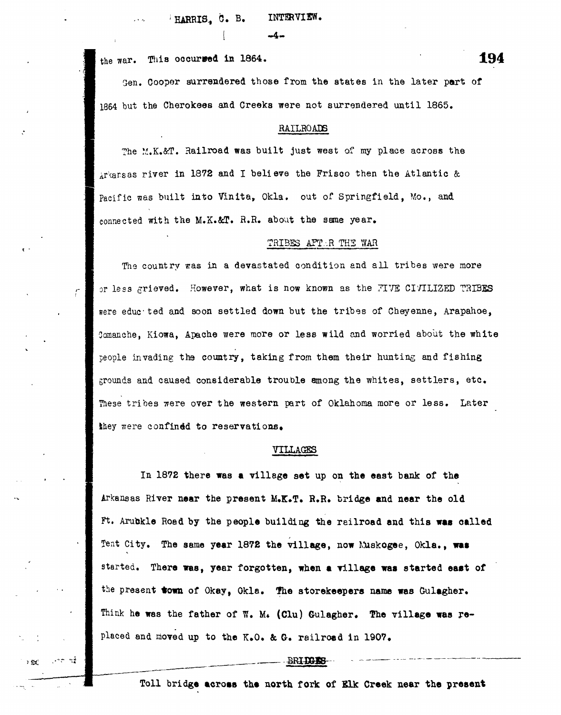*'* HARRIS., 0. B. INTERVIEW.

 $\overline{\phantom{a}}$ 

the war. This occurred in 1864.  $194$ 

ني سبب<br>الأم

a Kiri

Sen. Cooper surrendered those from the states in the later part of 1864 but the Cherokees and Creeks were not surrendered until 1865.

#### RAILROADS

The M.K.&T. Railroad was built just west of my place across the  $\Delta r$  arsas river in 1872 and I believe the Frisco then the Atlantic & Pacific was built into Vinita, Okla. out of Springfield. Mo., and connected with the M.K.&T. R.R. about the same year.

#### TRIBES AFT.R THE WAR

The country was in a devastated condition and all tribes were more or less grieved. However, what is now known as the *TIVE* CIVILIZED TRIBES were educ ted and soon settled down but the tribes of Cheyenne, Arapahoe, Oomanche, Kiowa, Apache were more or less wild and worried about the white people invading the country, taking from them their hunting and fishing grounds and caused considerable trouble among the whites, settlers, etc. These tribes were over the western part of Oklahoma more or less. Later they were confined to reservations.

#### VILLAGES

**In 1872 there was a village set up on the east bank of the Arkansas River near the present M,K»T. R.R» bridge and near the old Ft. Arubkle Road by the people building the railroad and this was called** Tent City. The same year 1872 the village, now Muskogee, Okla., was started. There was, year forgotten, when a village was started east of **the present town of Okay, Okla. fhe storekeepers name was Gulagher.** Think he was the father of W. M. (Clu) Gulagher. The village was re**placed and moved up to the K.O. & G. railroad in 1907,**

#### BRIDGES-

**Toll bridge acroas the north fork of SUc Creek near the present**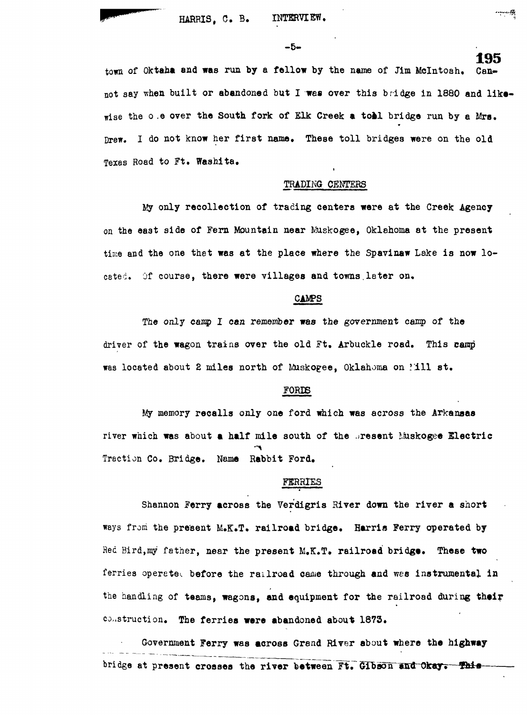$-5-$ 

**195**<br><sub>Can–</sub> town of Oktaha and was run by a fellow by the name of Jim McIntosh. wise the ower the South for South for South for Elk Creek a to the South for South for South for South for South for

#### TRADING CENTERS

My only recollection of trading centers were at the Creek Agency time and the one that was at the place where the Spavinaw Lake is now lo-

#### **CAMPS**

The only camp I can remember was the government camp of the driver of the wagon trains over the old Ft. Arbuckle road. This camp

#### FORDS

My memory recalls only one ford which was across the Arkansas river which was about a half mile south of the present Muskogee Electric **river which was about a half mile south of the .^resent Liuskogee Electric** Traction Co. Bridge. Name Rabbit Ford.

### FERRIES **FERRIES**

Shannon Ferry across the Verdigris River down the river a short ways from the present M.K.T. railroad bridge. Harris Ferry operated by Red Bird, my father, near the present M.K.T. railroad bridge. These two ferries operated before the railroad came through and was instrumental in **ferries operate^, before the railroad came through and wes instrumental in** the handling of teams, wagons, and equipment for the railroad during their **the handling of teams, wagons, and equipment for the railroad during thai?** construction. The ferries were abandoned about 1873.

Government Ferry was across Grand River about where the highway Government Ferry Was across Grand River about which was according to the highway of the highway about where the highway across the highway across the control of the highway across the control of the highway about which was bridge at present crosses the river between Ft. Gibson and Okay. This

**construction. The ferries were abandoned about 1873.**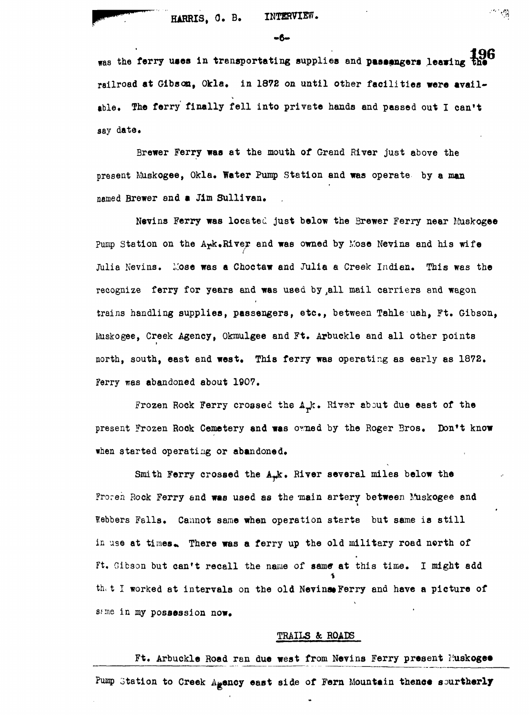# **HARRIS, 0. B. INTERVIEW.**

 $-6-$ 

流像

**was the ferry uses in trensportating supplies and passengers leaving railroad at Gibson, Okla. in 1872 on until other facilities were available. The ferry finally fell into private hands and passed out I can't say date.**

**Brewer Ferry was at the mouth of Grand River just above the present Muskogee, Okla. Water Pump Station and was operate by a man** named Brewer and a Jim Sullivan.

Nevins Ferry was located just below the Brewer Ferry near Muskogee Pump Station on the A<sub>rk</sub>.River and was owned by Mose Nevins and his wife Julia Nevins. Mose was a Choctaw and Julia a Creek Indian. This was the **recognize ferry for years and was used by ,all mail carriers and wagon trains handling supplies, passengers, etc., between Tahle uah, Ft. Gibson, inskogee, Creek Agency, Okmulgee and Ft. Arbuckle and all other points north, south, east and west. This ferry was operating as early as 1872. Ferry was abandoned about 1907.**

Frozen Rock Ferry crossed the A<sub>rk</sub>. River about due east of the **present Frozen Rock Cemetery and was omed by the Roger Bros. Don't know when started operating or abandoned.**

Smith Ferry crossed the A<sub>rk</sub>. River several miles below the **Froren Rock Ferry and was used as the main artery between Muskogee and Webbers Falls. Cannot same when operation sterte but same is still** in use at times. There was a ferry up the old military road north of **Ft, Gibson but can't recall the name of same at this time. I might add** th. t I worked at intervals on the old Nevinst Ferry and have a picture of same in my possession now.

#### **TRAILS & ROADS**

Ft. Arbuckle Road ran due west from Nevins Ferry present Fuskoge<sup>®</sup> Pump Station to Creek A<sub>gency</sub> east side of Fern Mountain thence sourtherly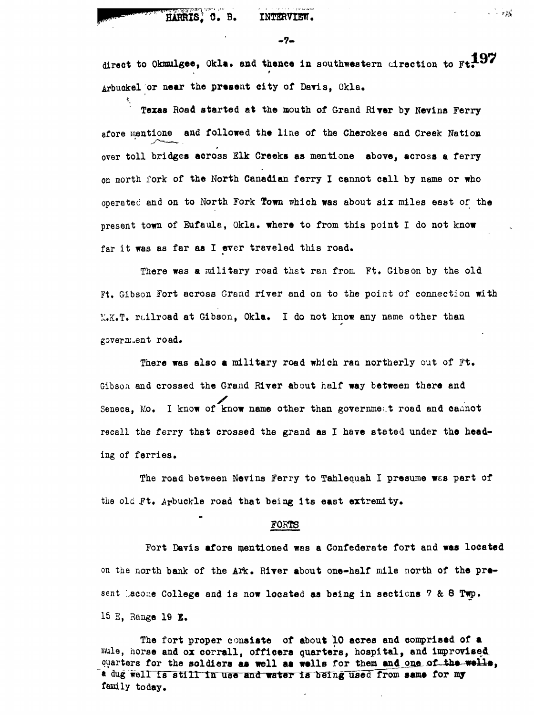# HARRIS, C. B. INTERVIEW.

 $-7-$ 

direct to Okmulgee, Okla. and thence in southwestern direction to Ft. 197 Arbuckel or near the present city of Davis, Okla.

Texas Road started at the mouth of Grand River by Nevins Ferry afore mentione and followed the line of the Cherokee and Creek Nation over toll bridges across Elk Creeks as mentione above, across a ferry on north fork of the North Canadian ferry I cannot call by name or who operated and on to North Fork Town which was about six miles east of the present town of Eufaula, Okla. where to from this point I do not know far it was as far as I ever traveled this road.

There was a military road that ran from Ft. Gibson by the old Ft. Gibson Fort across Grand river and on to the point of connection with **H.K.T.** railroad at Gibson, Okla. I do not know any name other than government road.

There was also a military road which ran northerly out of Ft. Gibson and crossed the Grand River about half way between there and Seneca, Mo. I know of know name other than government road and cannot recall the ferry that crossed the grand as I have stated under the heading of ferries.

The road between Nevins Ferry to Tahlequah I presume was part of the old Ft. Arbuckle road that being its east extremity.

# **the old . Arbuckle road that being its east extremity. Forts**

**Fort Davis afore mentioned was a Confederate fort and was located on the north bank of the Ark. River about one-half mile north of the pra**sent Lacone College and is now located as being in sections 7 & 8 Twp. **15 E, Range 19 E.**

**The fort proper consiste of about 10 acres and comprised of a mule, horse and ox corrall, officers quarters, hospital, and improvised,** quarters for the soldiers as well as wells for them and one of the wells, a dug well is still in use and water is being used from same for my **family today.**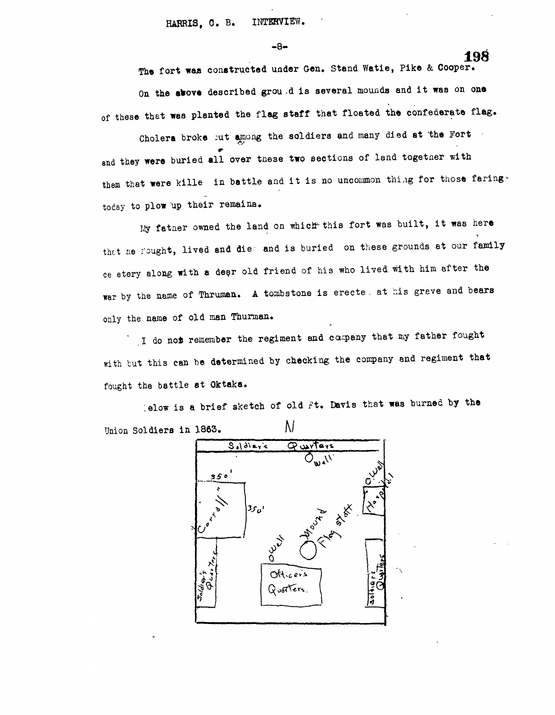-8-

The fort was constructed under Gen. Stand Watie, Pike & Cooper. On the above described grou .d is several mounds and it was on one of these that was planted the flag staff that floated the confederate flag.

Cholera broke out among the soldiers and many died at the Fort and they were buried all over these two sections of land together with them that were kille in battle and it is no uncommon thing for those faringtoday to plow up their remains.

My father owned the land on which this fort was built, it was here that he fought, lived and die- and is buried on these grounds at our family ce etery along with a dear old friend of his who lived with him after the war by the name of Thruman. A tombstone is erecte, at his greve and bears only the name of old man Thurman.

" I do not remember the regiment and caipeny that my father fought with but this can be determined by checking the company and regiment that fought the battle at Oktaka.

lelow is a brief sketch of old Ft. Davis that was burned by the Union Soldiers in 1863.  $\mathbb{N}$